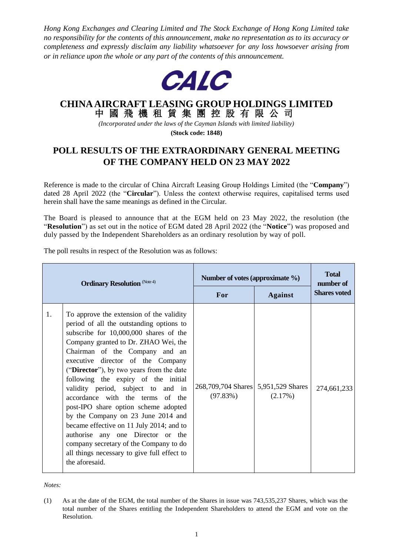*Hong Kong Exchanges and Clearing Limited and The Stock Exchange of Hong Kong Limited take no responsibility for the contents of this announcement, make no representation as to its accuracy or completeness and expressly disclaim any liability whatsoever for any loss howsoever arising from or in reliance upon the whole or any part of the contents of this announcement.*



## **CHINA AIRCRAFT LEASING GROUP HOLDINGS LIMITED** 中 國 飛 機 租 賃 集 團 控 股 有 限 公 司

*(Incorporated under the laws of the Cayman Islands with limited liability)*

**(Stock code: 1848)**

## **POLL RESULTS OF THE EXTRAORDINARY GENERAL MEETING OF THE COMPANY HELD ON 23 MAY 2022**

Reference is made to the circular of China Aircraft Leasing Group Holdings Limited (the "**Company**") dated 28 April 2022 (the "**Circular**"). Unless the context otherwise requires, capitalised terms used herein shall have the same meanings as defined in the Circular.

The Board is pleased to announce that at the EGM held on 23 May 2022, the resolution (the "**Resolution**") as set out in the notice of EGM dated 28 April 2022 (the "**Notice**") was proposed and duly passed by the Independent Shareholders as an ordinary resolution by way of poll.

The poll results in respect of the Resolution was as follows:

| <b>Ordinary Resolution</b> (Note 4) |                                                                                                                                                                                                                                                                                                                                                                                                                                                                                                                                                                                                                                                                                      | Number of votes (approximate %)                 |                | <b>Total</b><br>number of |
|-------------------------------------|--------------------------------------------------------------------------------------------------------------------------------------------------------------------------------------------------------------------------------------------------------------------------------------------------------------------------------------------------------------------------------------------------------------------------------------------------------------------------------------------------------------------------------------------------------------------------------------------------------------------------------------------------------------------------------------|-------------------------------------------------|----------------|---------------------------|
|                                     |                                                                                                                                                                                                                                                                                                                                                                                                                                                                                                                                                                                                                                                                                      | <b>For</b>                                      | <b>Against</b> | <b>Shares voted</b>       |
| 1.                                  | To approve the extension of the validity<br>period of all the outstanding options to<br>subscribe for 10,000,000 shares of the<br>Company granted to Dr. ZHAO Wei, the<br>Chairman of the Company and an<br>executive director of the Company<br>("Director"), by two years from the date<br>following the expiry of the initial<br>validity period, subject to and in<br>accordance with the terms of the<br>post-IPO share option scheme adopted<br>by the Company on 23 June 2014 and<br>became effective on 11 July 2014; and to<br>authorise any one Director or the<br>company secretary of the Company to do<br>all things necessary to give full effect to<br>the aforesaid. | 268,709,704 Shares 5,951,529 Shares<br>(97.83%) | (2.17%)        | 274,661,233               |

*Notes:*

<sup>(1)</sup> As at the date of the EGM, the total number of the Shares in issue was 743,535,237 Shares, which was the total number of the Shares entitling the Independent Shareholders to attend the EGM and vote on the Resolution.